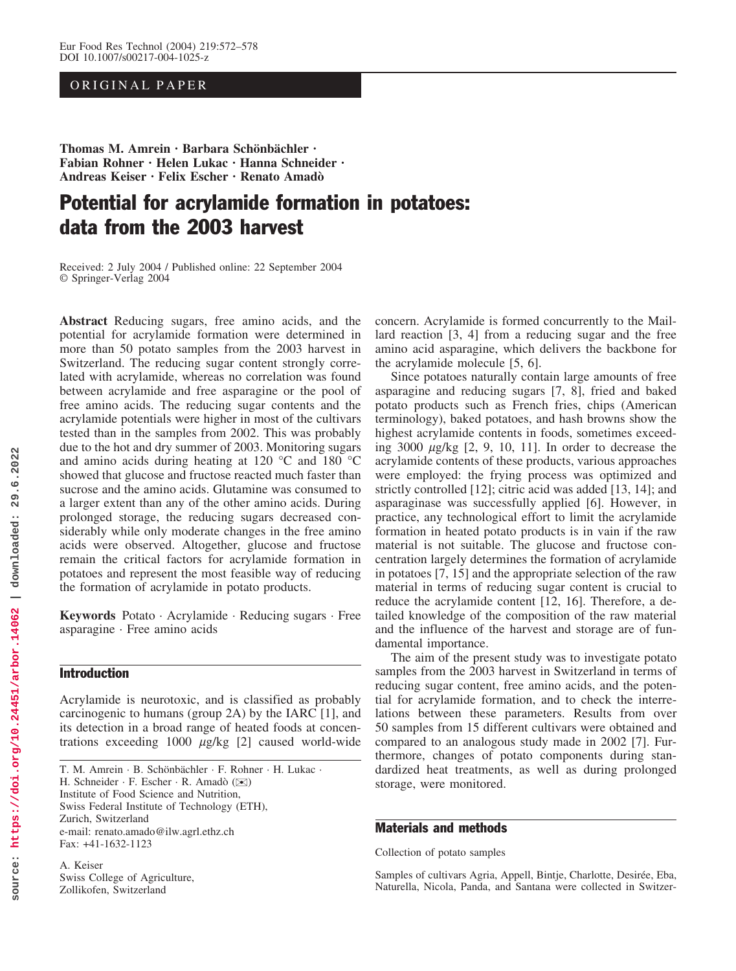# ORIGINAL PAPER

Thomas M. Amrein · Barbara Schönbächler · Fabian Rohner · Helen Lukac · Hanna Schneider · Andreas Keiser · Felix Escher · Renato Amad

# Potential for acrylamide formation in potatoes: data from the 2003 harvest

Received: 2 July 2004 / Published online: 22 September 2004 Springer-Verlag 2004

Abstract Reducing sugars, free amino acids, and the potential for acrylamide formation were determined in more than 50 potato samples from the 2003 harvest in Switzerland. The reducing sugar content strongly correlated with acrylamide, whereas no correlation was found between acrylamide and free asparagine or the pool of free amino acids. The reducing sugar contents and the acrylamide potentials were higher in most of the cultivars tested than in the samples from 2002. This was probably due to the hot and dry summer of 2003. Monitoring sugars and amino acids during heating at 120  $^{\circ}$ C and 180  $^{\circ}$ C showed that glucose and fructose reacted much faster than sucrose and the amino acids. Glutamine was consumed to a larger extent than any of the other amino acids. During prolonged storage, the reducing sugars decreased considerably while only moderate changes in the free amino acids were observed. Altogether, glucose and fructose remain the critical factors for acrylamide formation in potatoes and represent the most feasible way of reducing the formation of acrylamide in potato products.

Keywords Potato · Acrylamide · Reducing sugars · Free asparagine · Free amino acids

# Introduction

Acrylamide is neurotoxic, and is classified as probably carcinogenic to humans (group 2A) by the IARC [1], and its detection in a broad range of heated foods at concentrations exceeding  $1000 \mu g/kg$  [2] caused world-wide

T. M. Amrein · B. Schönbächler · F. Rohner · H. Lukac · H. Schneider · F. Escher · R. Amadò ( $\bowtie$ ) Institute of Food Science and Nutrition, Swiss Federal Institute of Technology (ETH), Zurich, Switzerland e-mail: renato.amado@ilw.agrl.ethz.ch Fax: +41-1632-1123

A. Keiser Swiss College of Agriculture, Zollikofen, Switzerland

concern. Acrylamide is formed concurrently to the Maillard reaction [3, 4] from a reducing sugar and the free amino acid asparagine, which delivers the backbone for the acrylamide molecule [5, 6].

Since potatoes naturally contain large amounts of free asparagine and reducing sugars [7, 8], fried and baked potato products such as French fries, chips (American terminology), baked potatoes, and hash browns show the highest acrylamide contents in foods, sometimes exceeding  $3000 \mu g/kg$  [2, 9, 10, 11]. In order to decrease the acrylamide contents of these products, various approaches were employed: the frying process was optimized and strictly controlled [12]; citric acid was added [13, 14]; and asparaginase was successfully applied [6]. However, in practice, any technological effort to limit the acrylamide formation in heated potato products is in vain if the raw material is not suitable. The glucose and fructose concentration largely determines the formation of acrylamide in potatoes [7, 15] and the appropriate selection of the raw material in terms of reducing sugar content is crucial to reduce the acrylamide content [12, 16]. Therefore, a detailed knowledge of the composition of the raw material and the influence of the harvest and storage are of fundamental importance.

The aim of the present study was to investigate potato samples from the 2003 harvest in Switzerland in terms of reducing sugar content, free amino acids, and the potential for acrylamide formation, and to check the interrelations between these parameters. Results from over 50 samples from 15 different cultivars were obtained and compared to an analogous study made in 2002 [7]. Furthermore, changes of potato components during standardized heat treatments, as well as during prolonged storage, were monitored.

## Materials and methods

Collection of potato samples

Samples of cultivars Agria, Appell, Bintje, Charlotte, Desirée, Eba, Naturella, Nicola, Panda, and Santana were collected in Switzer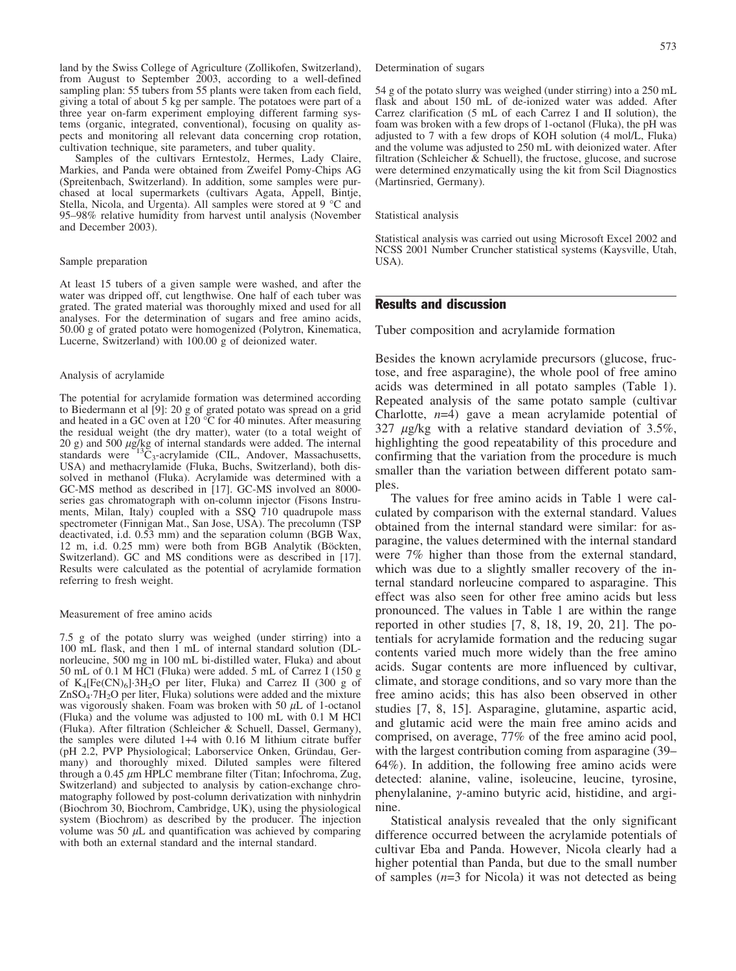land by the Swiss College of Agriculture (Zollikofen, Switzerland), from August to September 2003, according to a well-defined sampling plan: 55 tubers from 55 plants were taken from each field, giving a total of about 5 kg per sample. The potatoes were part of a three year on-farm experiment employing different farming systems (organic, integrated, conventional), focusing on quality aspects and monitoring all relevant data concerning crop rotation, cultivation technique, site parameters, and tuber quality.

Samples of the cultivars Erntestolz, Hermes, Lady Claire, Markies, and Panda were obtained from Zweifel Pomy-Chips AG (Spreitenbach, Switzerland). In addition, some samples were purchased at local supermarkets (cultivars Agata, Appell, Bintje, Stella, Nicola, and Urgenta). All samples were stored at  $9^{\circ}$ C and 95–98% relative humidity from harvest until analysis (November and December 2003).

#### Sample preparation

At least 15 tubers of a given sample were washed, and after the water was dripped off, cut lengthwise. One half of each tuber was grated. The grated material was thoroughly mixed and used for all analyses. For the determination of sugars and free amino acids, 50.00 g of grated potato were homogenized (Polytron, Kinematica, Lucerne, Switzerland) with 100.00 g of deionized water.

#### Analysis of acrylamide

The potential for acrylamide formation was determined according to Biedermann et al [9]: 20 g of grated potato was spread on a grid and heated in a GC oven at 120  $^{\circ}$ C for 40 minutes. After measuring the residual weight (the dry matter), water (to a total weight of 20 g) and 500  $\mu$ g/kg of internal standards were added. The internal standards were  $^{13}C_3$ -acrylamide (CIL, Andover, Massachusetts, USA) and methacrylamide (Fluka, Buchs, Switzerland), both dissolved in methanol (Fluka). Acrylamide was determined with a GC-MS method as described in [17]. GC-MS involved an 8000 series gas chromatograph with on-column injector (Fisons Instruments, Milan, Italy) coupled with a SSQ 710 quadrupole mass spectrometer (Finnigan Mat., San Jose, USA). The precolumn (TSP deactivated, i.d. 0.53 mm) and the separation column (BGB Wax, 12 m, i.d. 0.25 mm) were both from BGB Analytik (Böckten, Switzerland). GC and MS conditions were as described in [17]. Results were calculated as the potential of acrylamide formation referring to fresh weight.

#### Measurement of free amino acids

7.5 g of the potato slurry was weighed (under stirring) into a 100 mL flask, and then 1 mL of internal standard solution (DLnorleucine, 500 mg in 100 mL bi-distilled water, Fluka) and about 50 mL of 0.1 M HCl (Fluka) were added. 5 mL of Carrez I (150 g of  $K_4[Fe(CN)_6]$ <sup>3</sup>H<sub>2</sub>O per liter, Fluka) and Carrez II (300 g of  $ZnSO<sub>4</sub>·7H<sub>2</sub>O$  per liter, Fluka) solutions were added and the mixture was vigorously shaken. Foam was broken with 50  $\mu$ L of 1-octanol (Fluka) and the volume was adjusted to 100 mL with 0.1 M HCl (Fluka). After filtration (Schleicher & Schuell, Dassel, Germany), the samples were diluted 1+4 with 0.16 M lithium citrate buffer (pH 2.2, PVP Physiological; Laborservice Onken, Gründau, Germany) and thoroughly mixed. Diluted samples were filtered through a 0.45  $\mu$ m HPLC membrane filter (Titan; Infochroma, Zug, Switzerland) and subjected to analysis by cation-exchange chromatography followed by post-column derivatization with ninhydrin (Biochrom 30, Biochrom, Cambridge, UK), using the physiological system (Biochrom) as described by the producer. The injection volume was 50  $\mu$ L and quantification was achieved by comparing with both an external standard and the internal standard.

Determination of sugars

54 g of the potato slurry was weighed (under stirring) into a 250 mL flask and about 150 mL of de-ionized water was added. After Carrez clarification (5 mL of each Carrez I and II solution), the foam was broken with a few drops of 1-octanol (Fluka), the pH was adjusted to 7 with a few drops of KOH solution (4 mol/L, Fluka) and the volume was adjusted to 250 mL with deionized water. After filtration (Schleicher  $\&$  Schuell), the fructose, glucose, and sucrose were determined enzymatically using the kit from Scil Diagnostics (Martinsried, Germany).

Statistical analysis

Statistical analysis was carried out using Microsoft Excel 2002 and NCSS 2001 Number Cruncher statistical systems (Kaysville, Utah, USA).

# Results and discussion

Tuber composition and acrylamide formation

Besides the known acrylamide precursors (glucose, fructose, and free asparagine), the whole pool of free amino acids was determined in all potato samples (Table 1). Repeated analysis of the same potato sample (cultivar Charlotte,  $n=4$ ) gave a mean acrylamide potential of  $327 \mu$ g/kg with a relative standard deviation of 3.5%, highlighting the good repeatability of this procedure and confirming that the variation from the procedure is much smaller than the variation between different potato samples.

The values for free amino acids in Table 1 were calculated by comparison with the external standard. Values obtained from the internal standard were similar: for asparagine, the values determined with the internal standard were 7% higher than those from the external standard, which was due to a slightly smaller recovery of the internal standard norleucine compared to asparagine. This effect was also seen for other free amino acids but less pronounced. The values in Table 1 are within the range reported in other studies [7, 8, 18, 19, 20, 21]. The potentials for acrylamide formation and the reducing sugar contents varied much more widely than the free amino acids. Sugar contents are more influenced by cultivar, climate, and storage conditions, and so vary more than the free amino acids; this has also been observed in other studies [7, 8, 15]. Asparagine, glutamine, aspartic acid, and glutamic acid were the main free amino acids and comprised, on average, 77% of the free amino acid pool, with the largest contribution coming from asparagine (39– 64%). In addition, the following free amino acids were detected: alanine, valine, isoleucine, leucine, tyrosine, phenylalanine,  $\gamma$ -amino butyric acid, histidine, and arginine.

Statistical analysis revealed that the only significant difference occurred between the acrylamide potentials of cultivar Eba and Panda. However, Nicola clearly had a higher potential than Panda, but due to the small number of samples  $(n=3$  for Nicola) it was not detected as being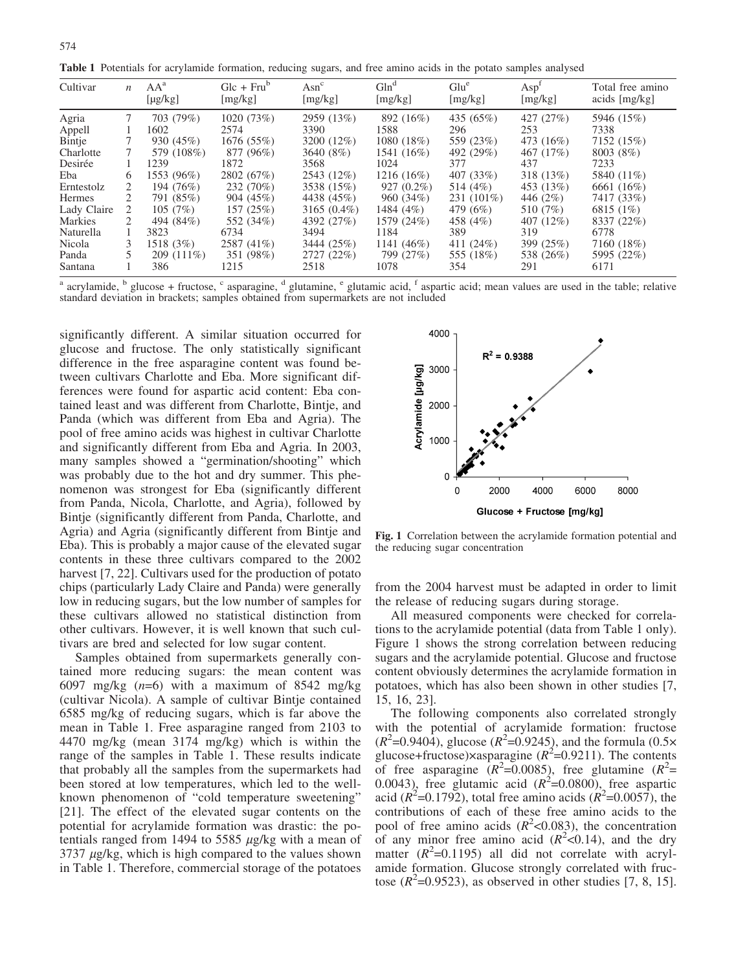574

Table 1 Potentials for acrylamide formation, reducing sugars, and free amino acids in the potato samples analysed

| Cultivar      | $\boldsymbol{n}$ | $AA^a$<br>$[\mu g/kg]$ | $Glc + Frub$<br>[mg/kg] | $\operatorname{Asn}^c$<br>[mg/kg] | Gln <sup>d</sup><br>[mg/kg] | Glu <sup>e</sup><br>[mg/kg] | Asp <sup>t</sup><br>[mg/kg] | Total free amino<br>acids [mg/kg] |
|---------------|------------------|------------------------|-------------------------|-----------------------------------|-----------------------------|-----------------------------|-----------------------------|-----------------------------------|
| Agria         |                  | 703 (79%)              | 1020(73%)               | 2959 (13%)                        | 892 (16%)                   | 435 (65%)                   | 427 (27%)                   | 5946 (15%)                        |
| Appell        |                  | 1602                   | 2574                    | 3390                              | 1588                        | 296                         | 253                         | 7338                              |
| Bintje        |                  | 930 (45%)              | 1676(55%)               | 3200 (12%)                        | 1080 (18%)                  | 559 (23%)                   | 473 (16%)                   | 7152 (15%)                        |
| Charlotte     |                  | 579 (108%)             | 877 (96%)               | 3640 (8%)                         | 1541 (16%)                  | 492 (29%)                   | 467 (17%)                   | 8003 (8%)                         |
| Desirée       |                  | 1239                   | 1872                    | 3568                              | 1024                        | 377                         | 437                         | 7233                              |
| Eba           | 6                | 1553 (96%)             | 2802 (67%)              | 2543 (12%)                        | $1216(16\%)$                | 407 (33%)                   | 318 (13%)                   | 5840 (11\%)                       |
| Erntestolz    | 2                | 194 (76%)              | 232 (70%)               | 3538 (15%)                        | $927(0.2\%)$                | 514 (4%)                    | 453 (13%)                   | 6661 (16%)                        |
| <b>Hermes</b> |                  | 791 (85%)              | 904(45%)                | 4438 (45%)                        | 960 (34%)                   | $231(101\%)$                | 446 (2\%)                   | 7417 (33%)                        |
| Lady Claire   | 2                | 105(7%)                | 157 (25%)               | $3165(0.4\%)$                     | 1484 $(4%)$                 | 479 (6%)                    | 510 (7%)                    | 6815 (1\%)                        |
| Markies       |                  | 494 (84%)              | 552 (34%)               | 4392 (27%)                        | 1579 (24%)                  | 458 (4%)                    | 407 (12%)                   | 8337 (22%)                        |
| Naturella     |                  | 3823                   | 6734                    | 3494                              | 1184                        | 389                         | 319                         | 6778                              |
| Nicola        |                  | 1518(3%)               | 2587 (41\%)             | 3444 (25%)                        | 1141 $(46\%)$               | 411 $(24%)$                 | 399 (25%)                   | 7160 (18%)                        |
| Panda         |                  | $209(111\%)$           | 351 (98%)               | 2727 (22%)                        | 799 (27%)                   | 555 (18%)                   | 538 (26%)                   | 5995 (22%)                        |
| Santana       |                  | 386                    | 1215                    | 2518                              | 1078                        | 354                         | 291                         | 6171                              |

<sup>a</sup> acrylamide,  $\frac{b}{c}$  glucose + fructose,  $\frac{c}{c}$  asparagine,  $\frac{d}{c}$  glutamine,  $\frac{e}{c}$  glutamic acid, f aspartic acid; mean values are used in the table; relative standard deviation in brackets; samples obtained from supermarkets are not included

significantly different. A similar situation occurred for glucose and fructose. The only statistically significant difference in the free asparagine content was found between cultivars Charlotte and Eba. More significant differences were found for aspartic acid content: Eba contained least and was different from Charlotte, Bintje, and Panda (which was different from Eba and Agria). The pool of free amino acids was highest in cultivar Charlotte and significantly different from Eba and Agria. In 2003, many samples showed a "germination/shooting" which was probably due to the hot and dry summer. This phenomenon was strongest for Eba (significantly different from Panda, Nicola, Charlotte, and Agria), followed by Bintje (significantly different from Panda, Charlotte, and Agria) and Agria (significantly different from Bintje and Eba). This is probably a major cause of the elevated sugar contents in these three cultivars compared to the 2002 harvest [7, 22]. Cultivars used for the production of potato chips (particularly Lady Claire and Panda) were generally low in reducing sugars, but the low number of samples for these cultivars allowed no statistical distinction from other cultivars. However, it is well known that such cultivars are bred and selected for low sugar content.

Samples obtained from supermarkets generally contained more reducing sugars: the mean content was 6097 mg/kg  $(n=6)$  with a maximum of 8542 mg/kg (cultivar Nicola). A sample of cultivar Bintje contained 6585 mg/kg of reducing sugars, which is far above the mean in Table 1. Free asparagine ranged from 2103 to 4470 mg/kg (mean 3174 mg/kg) which is within the range of the samples in Table 1. These results indicate that probably all the samples from the supermarkets had been stored at low temperatures, which led to the wellknown phenomenon of "cold temperature sweetening" [21]. The effect of the elevated sugar contents on the potential for acrylamide formation was drastic: the potentials ranged from 1494 to 5585  $\mu$ g/kg with a mean of  $3737 \mu g/kg$ , which is high compared to the values shown in Table 1. Therefore, commercial storage of the potatoes



Fig. 1 Correlation between the acrylamide formation potential and the reducing sugar concentration

from the 2004 harvest must be adapted in order to limit the release of reducing sugars during storage.

All measured components were checked for correlations to the acrylamide potential (data from Table 1 only). Figure 1 shows the strong correlation between reducing sugars and the acrylamide potential. Glucose and fructose content obviously determines the acrylamide formation in potatoes, which has also been shown in other studies [7, 15, 16, 23].

The following components also correlated strongly with the potential of acrylamide formation: fructose  $(R^2=0.9404)$ , glucose  $(R^2=0.9245)$ , and the formula  $(0.5\times$ glucose+fructose) $x$ asparagine ( $R^2$ =0.9211). The contents of free asparagine  $(R^2=0.0085)$ , free glutamine  $(R^2=$ 0.0043), free glutamic acid  $(R^2=0.0800)$ , free aspartic acid ( $R^2$ =0.1792), total free amino acids ( $R^2$ =0.0057), the contributions of each of these free amino acids to the pool of free amino acids  $(R^2<0.083)$ , the concentration of any minor free amino acid  $(R^2<0.14)$ , and the dry matter  $(R^2=0.1195)$  all did not correlate with acrylamide formation. Glucose strongly correlated with fructose  $(R^2=0.9523)$ , as observed in other studies [7, 8, 15].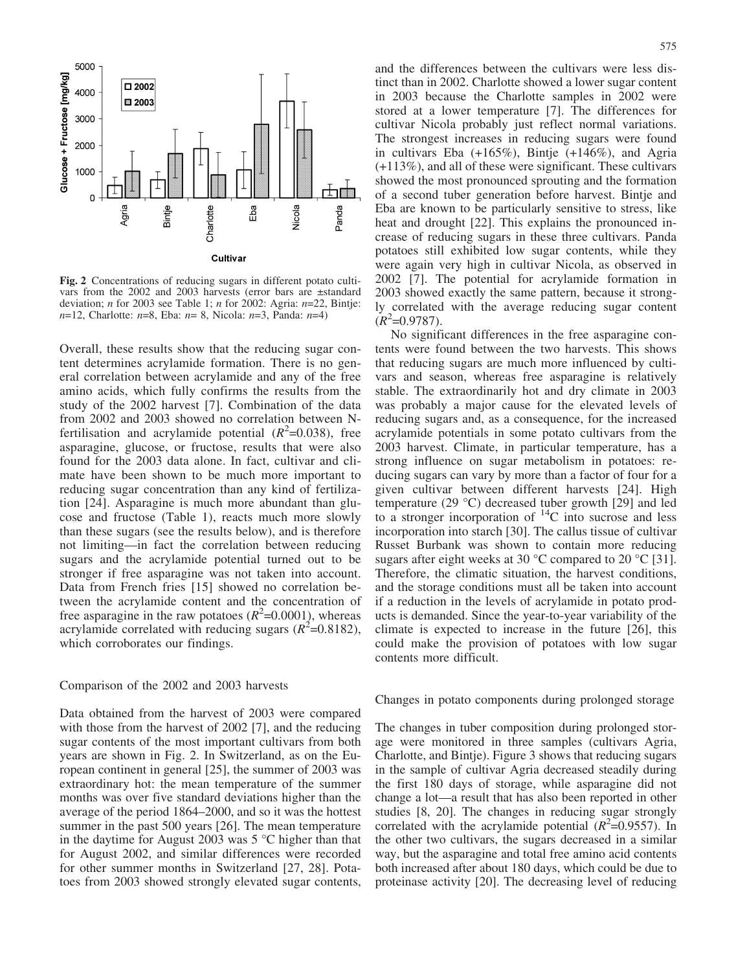

Fig. 2 Concentrations of reducing sugars in different potato cultivars from the 2002 and 2003 harvests (error bars are ±standard deviation; *n* for 2003 see Table 1; *n* for 2002: Agria:  $n=22$ , Bintje:  $n=12$ , Charlotte:  $n=8$ , Eba:  $n=8$ , Nicola:  $n=3$ , Panda:  $n=4$ )

Overall, these results show that the reducing sugar content determines acrylamide formation. There is no general correlation between acrylamide and any of the free amino acids, which fully confirms the results from the study of the 2002 harvest [7]. Combination of the data from 2002 and 2003 showed no correlation between Nfertilisation and acrylamide potential  $(R^2=0.038)$ , free asparagine, glucose, or fructose, results that were also found for the 2003 data alone. In fact, cultivar and climate have been shown to be much more important to reducing sugar concentration than any kind of fertilization [24]. Asparagine is much more abundant than glucose and fructose (Table 1), reacts much more slowly than these sugars (see the results below), and is therefore not limiting—in fact the correlation between reducing sugars and the acrylamide potential turned out to be stronger if free asparagine was not taken into account. Data from French fries [15] showed no correlation between the acrylamide content and the concentration of free asparagine in the raw potatoes  $(R^2=0.0001)$ , whereas acrylamide correlated with reducing sugars ( $R^2$ =0.8182), which corroborates our findings.

### Comparison of the 2002 and 2003 harvests

Data obtained from the harvest of 2003 were compared with those from the harvest of 2002 [7], and the reducing sugar contents of the most important cultivars from both years are shown in Fig. 2. In Switzerland, as on the European continent in general [25], the summer of 2003 was extraordinary hot: the mean temperature of the summer months was over five standard deviations higher than the average of the period 1864–2000, and so it was the hottest summer in the past 500 years [26]. The mean temperature in the daytime for August 2003 was  $5^{\circ}$ C higher than that for August 2002, and similar differences were recorded for other summer months in Switzerland [27, 28]. Potatoes from 2003 showed strongly elevated sugar contents,

and the differences between the cultivars were less distinct than in 2002. Charlotte showed a lower sugar content in 2003 because the Charlotte samples in 2002 were stored at a lower temperature [7]. The differences for cultivar Nicola probably just reflect normal variations. The strongest increases in reducing sugars were found in cultivars Eba (+165%), Bintje (+146%), and Agria (+113%), and all of these were significant. These cultivars showed the most pronounced sprouting and the formation of a second tuber generation before harvest. Bintje and Eba are known to be particularly sensitive to stress, like heat and drought [22]. This explains the pronounced increase of reducing sugars in these three cultivars. Panda potatoes still exhibited low sugar contents, while they were again very high in cultivar Nicola, as observed in 2002 [7]. The potential for acrylamide formation in 2003 showed exactly the same pattern, because it strongly correlated with the average reducing sugar content  $(R^2=0.9787)$ .

No significant differences in the free asparagine contents were found between the two harvests. This shows that reducing sugars are much more influenced by cultivars and season, whereas free asparagine is relatively stable. The extraordinarily hot and dry climate in 2003 was probably a major cause for the elevated levels of reducing sugars and, as a consequence, for the increased acrylamide potentials in some potato cultivars from the 2003 harvest. Climate, in particular temperature, has a strong influence on sugar metabolism in potatoes: reducing sugars can vary by more than a factor of four for a given cultivar between different harvests [24]. High temperature  $(29 \text{ °C})$  decreased tuber growth [29] and led to a stronger incorporation of  $^{14}$ C into sucrose and less incorporation into starch [30]. The callus tissue of cultivar Russet Burbank was shown to contain more reducing sugars after eight weeks at 30  $^{\circ}$ C compared to 20  $^{\circ}$ C [31]. Therefore, the climatic situation, the harvest conditions, and the storage conditions must all be taken into account if a reduction in the levels of acrylamide in potato products is demanded. Since the year-to-year variability of the climate is expected to increase in the future [26], this could make the provision of potatoes with low sugar contents more difficult.

Changes in potato components during prolonged storage

The changes in tuber composition during prolonged storage were monitored in three samples (cultivars Agria, Charlotte, and Bintje). Figure 3 shows that reducing sugars in the sample of cultivar Agria decreased steadily during the first 180 days of storage, while asparagine did not change a lot—a result that has also been reported in other studies [8, 20]. The changes in reducing sugar strongly correlated with the acrylamide potential  $(R^2=0.9557)$ . In the other two cultivars, the sugars decreased in a similar way, but the asparagine and total free amino acid contents both increased after about 180 days, which could be due to proteinase activity [20]. The decreasing level of reducing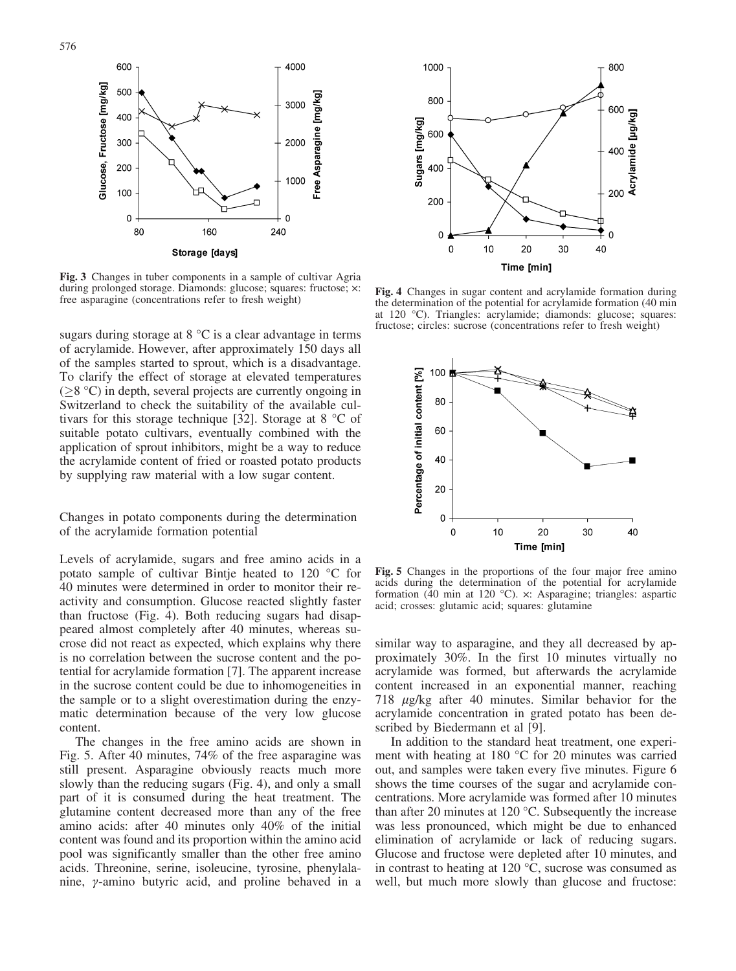600 4000 Glucose, Fructose [mg/kg] 500 Free Asparagine [mg/kg] 3000 400 300 2000 200 000 100  $\pmb{0}$ C 240 80 160 Storage [days]

Fig. 3 Changes in tuber components in a sample of cultivar Agria during prolonged storage. Diamonds: glucose; squares: fructose;  $\times$ : during prolonged storage. Diamonds: glucose; squares: fructose; x: Fig. 4 Changes in sugar content and acrylamide formation during<br>free asparagine (concentrations refer to fresh weight) the determination of the notential f

sugars during storage at  $8 °C$  is a clear advantage in terms of acrylamide. However, after approximately 150 days all of the samples started to sprout, which is a disadvantage. To clarify the effect of storage at elevated temperatures  $(\geq)$ °C) in depth, several projects are currently ongoing in Switzerland to check the suitability of the available cultivars for this storage technique [32]. Storage at  $8 °C$  of suitable potato cultivars, eventually combined with the application of sprout inhibitors, might be a way to reduce the acrylamide content of fried or roasted potato products by supplying raw material with a low sugar content.

Changes in potato components during the determination of the acrylamide formation potential

Levels of acrylamide, sugars and free amino acids in a potato sample of cultivar Bintje heated to  $120 \degree C$  for 40 minutes were determined in order to monitor their reactivity and consumption. Glucose reacted slightly faster than fructose (Fig. 4). Both reducing sugars had disappeared almost completely after 40 minutes, whereas sucrose did not react as expected, which explains why there is no correlation between the sucrose content and the potential for acrylamide formation [7]. The apparent increase in the sucrose content could be due to inhomogeneities in the sample or to a slight overestimation during the enzymatic determination because of the very low glucose content.

The changes in the free amino acids are shown in Fig. 5. After 40 minutes, 74% of the free asparagine was still present. Asparagine obviously reacts much more slowly than the reducing sugars (Fig. 4), and only a small part of it is consumed during the heat treatment. The glutamine content decreased more than any of the free amino acids: after 40 minutes only 40% of the initial content was found and its proportion within the amino acid pool was significantly smaller than the other free amino acids. Threonine, serine, isoleucine, tyrosine, phenylalanine, y-amino butyric acid, and proline behaved in a



the determination of the potential for acrylamide formation (40 min at 120 °C). Triangles: acrylamide; diamonds: glucose; squares: fructose; circles: sucrose (concentrations refer to fresh weight)



Fig. 5 Changes in the proportions of the four major free amino acids during the determination of the potential for acrylamide formation (40 min at 120 °C).  $\times$ : Asparagine; triangles: aspartic acid; crosses: glutamic acid; squares: glutamine

similar way to asparagine, and they all decreased by approximately 30%. In the first 10 minutes virtually no acrylamide was formed, but afterwards the acrylamide content increased in an exponential manner, reaching 718  $\mu$ g/kg after 40 minutes. Similar behavior for the acrylamide concentration in grated potato has been described by Biedermann et al [9].

In addition to the standard heat treatment, one experiment with heating at 180  $^{\circ}$ C for 20 minutes was carried out, and samples were taken every five minutes. Figure 6 shows the time courses of the sugar and acrylamide concentrations. More acrylamide was formed after 10 minutes than after 20 minutes at 120  $\degree$ C. Subsequently the increase was less pronounced, which might be due to enhanced elimination of acrylamide or lack of reducing sugars. Glucose and fructose were depleted after 10 minutes, and in contrast to heating at 120  $\degree$ C, sucrose was consumed as well, but much more slowly than glucose and fructose: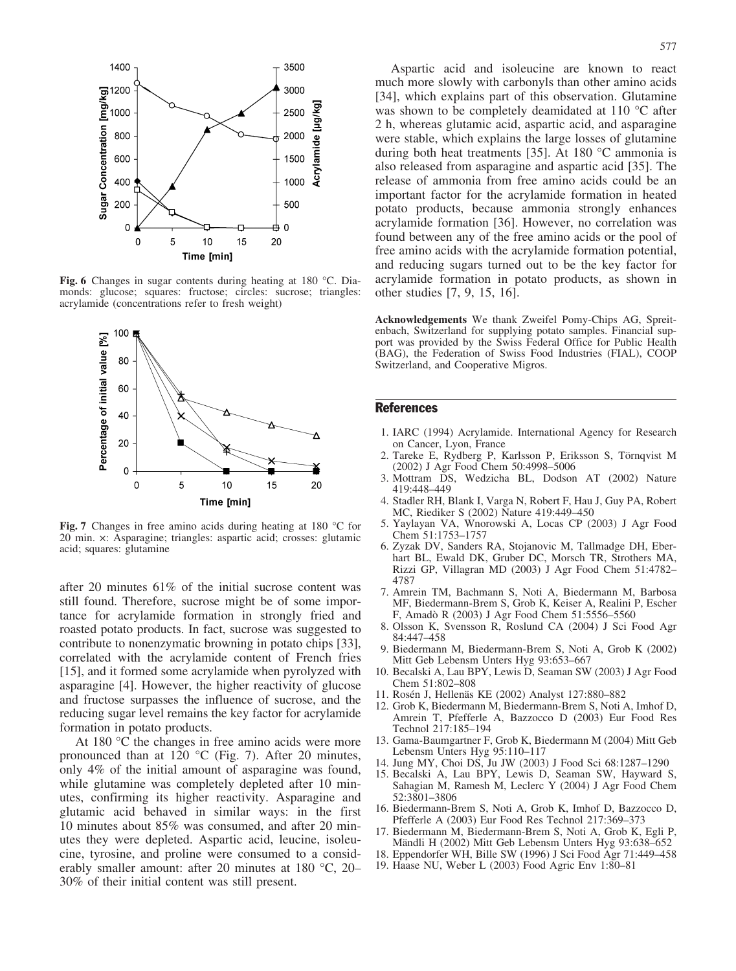

Fig. 6 Changes in sugar contents during heating at 180 °C. Diamonds: glucose; squares: fructose; circles: sucrose; triangles: acrylamide (concentrations refer to fresh weight)



Fig. 7 Changes in free amino acids during heating at 180 °C for 20 min. x: Asparagine; triangles: aspartic acid; crosses: glutamic acid; squares: glutamine

after 20 minutes 61% of the initial sucrose content was still found. Therefore, sucrose might be of some importance for acrylamide formation in strongly fried and roasted potato products. In fact, sucrose was suggested to contribute to nonenzymatic browning in potato chips [33], correlated with the acrylamide content of French fries [15], and it formed some acrylamide when pyrolyzed with asparagine [4]. However, the higher reactivity of glucose and fructose surpasses the influence of sucrose, and the reducing sugar level remains the key factor for acrylamide formation in potato products.

At  $180^{\circ}$ C the changes in free amino acids were more pronounced than at 120  $^{\circ}$ C (Fig. 7). After 20 minutes, only 4% of the initial amount of asparagine was found, while glutamine was completely depleted after 10 minutes, confirming its higher reactivity. Asparagine and glutamic acid behaved in similar ways: in the first 10 minutes about 85% was consumed, and after 20 minutes they were depleted. Aspartic acid, leucine, isoleucine, tyrosine, and proline were consumed to a considerably smaller amount: after 20 minutes at  $180^{\circ}$ C, 20– 30% of their initial content was still present.

Aspartic acid and isoleucine are known to react much more slowly with carbonyls than other amino acids [34], which explains part of this observation. Glutamine was shown to be completely deamidated at  $110$  °C after 2 h, whereas glutamic acid, aspartic acid, and asparagine were stable, which explains the large losses of glutamine during both heat treatments [35]. At 180  $^{\circ}$ C ammonia is also released from asparagine and aspartic acid [35]. The release of ammonia from free amino acids could be an important factor for the acrylamide formation in heated potato products, because ammonia strongly enhances acrylamide formation [36]. However, no correlation was found between any of the free amino acids or the pool of free amino acids with the acrylamide formation potential, and reducing sugars turned out to be the key factor for acrylamide formation in potato products, as shown in other studies [7, 9, 15, 16].

Acknowledgements We thank Zweifel Pomy-Chips AG, Spreitenbach, Switzerland for supplying potato samples. Financial support was provided by the Swiss Federal Office for Public Health (BAG), the Federation of Swiss Food Industries (FIAL), COOP Switzerland, and Cooperative Migros.

## **References**

- 1. IARC (1994) Acrylamide. International Agency for Research on Cancer, Lyon, France
- 2. Tareke E, Rydberg P, Karlsson P, Eriksson S, Törnqvist M (2002) J Agr Food Chem 50:4998–5006
- 3. Mottram DS, Wedzicha BL, Dodson AT (2002) Nature 419:448–449
- 4. Stadler RH, Blank I, Varga N, Robert F, Hau J, Guy PA, Robert MC, Riediker S (2002) Nature 419:449–450
- 5. Yaylayan VA, Wnorowski A, Locas CP (2003) J Agr Food Chem 51:1753–1757
- 6. Zyzak DV, Sanders RA, Stojanovic M, Tallmadge DH, Eberhart BL, Ewald DK, Gruber DC, Morsch TR, Strothers MA, Rizzi GP, Villagran MD (2003) J Agr Food Chem 51:4782– 4787
- 7. Amrein TM, Bachmann S, Noti A, Biedermann M, Barbosa MF, Biedermann-Brem S, Grob K, Keiser A, Realini P, Escher F, Amadò R (2003) J Agr Food Chem 51:5556-5560
- 8. Olsson K, Svensson R, Roslund CA (2004) J Sci Food Agr 84:447–458
- 9. Biedermann M, Biedermann-Brem S, Noti A, Grob K (2002) Mitt Geb Lebensm Unters Hyg 93:653–667
- 10. Becalski A, Lau BPY, Lewis D, Seaman SW (2003) J Agr Food Chem 51:802–808
- 11. Rosén J, Hellenäs KE (2002) Analyst 127:880–882
- 12. Grob K, Biedermann M, Biedermann-Brem S, Noti A, Imhof D, Amrein T, Pfefferle A, Bazzocco D (2003) Eur Food Res Technol 217:185–194
- 13. Gama-Baumgartner F, Grob K, Biedermann M (2004) Mitt Geb Lebensm Unters Hyg 95:110–117
- 14. Jung MY, Choi DS, Ju JW (2003) J Food Sci 68:1287–1290
- 15. Becalski A, Lau BPY, Lewis D, Seaman SW, Hayward S, Sahagian M, Ramesh M, Leclerc Y (2004) J Agr Food Chem 52:3801–3806
- 16. Biedermann-Brem S, Noti A, Grob K, Imhof D, Bazzocco D, Pfefferle A (2003) Eur Food Res Technol 217:369–373
- 17. Biedermann M, Biedermann-Brem S, Noti A, Grob K, Egli P, Mändli H (2002) Mitt Geb Lebensm Unters Hyg 93:638-652
- 18. Eppendorfer WH, Bille SW (1996) J Sci Food Agr 71:449–458
- 19. Haase NU, Weber L (2003) Food Agric Env 1:80–81